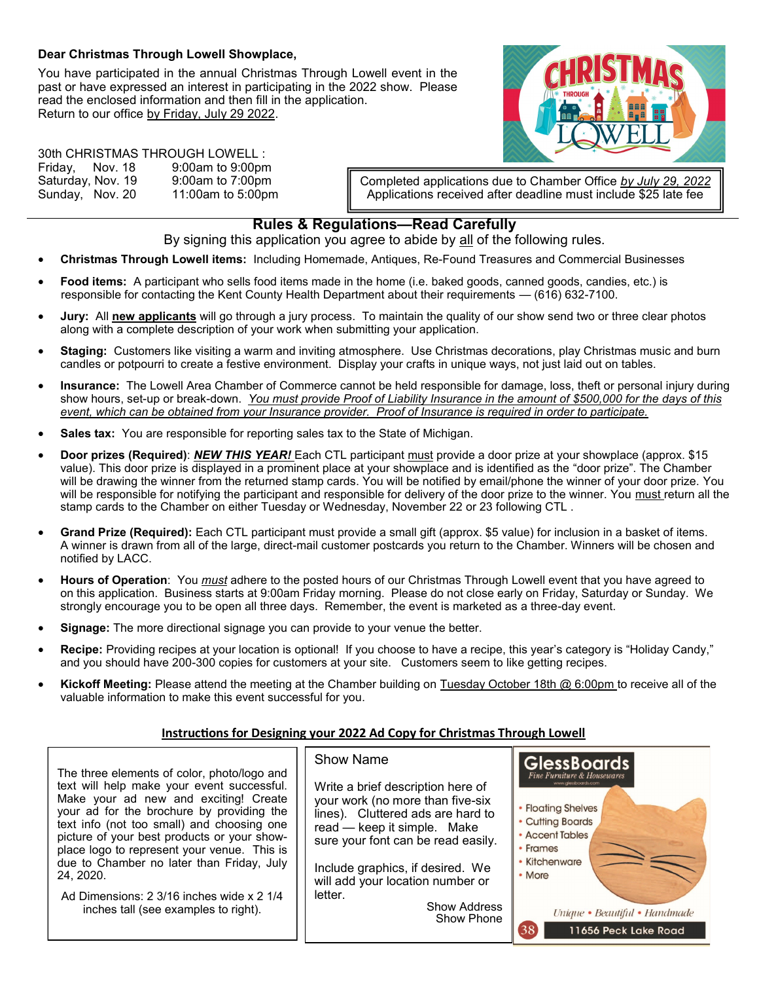## **Dear Christmas Through Lowell Showplace,**

You have participated in the annual Christmas Through Lowell event in the past or have expressed an interest in participating in the 2022 show. Please read the enclosed information and then fill in the application. Return to our office by Friday, July 29 2022.



30th CHRISTMAS THROUGH LOWELL : Friday, Nov. 18 9:00am to 9:00pm Saturday, Nov. 19 9:00am to 7:00pm Sunday, Nov. 20 11:00am to 5:00pm

Completed applications due to Chamber Office *by July 29, 2022* Applications received after deadline must include \$25 late fee

## **Rules & Regulations—Read Carefully**

By signing this application you agree to abide by all of the following rules.

- **Christmas Through Lowell items:** Including Homemade, Antiques, Re-Found Treasures and Commercial Businesses
- **Food items:** A participant who sells food items made in the home (i.e. baked goods, canned goods, candies, etc.) is responsible for contacting the Kent County Health Department about their requirements — (616) 632-7100.
- **Jury:** All **new applicants** will go through a jury process. To maintain the quality of our show send two or three clear photos along with a complete description of your work when submitting your application.
- **Staging:** Customers like visiting a warm and inviting atmosphere. Use Christmas decorations, play Christmas music and burn candles or potpourri to create a festive environment. Display your crafts in unique ways, not just laid out on tables.
- **Insurance:** The Lowell Area Chamber of Commerce cannot be held responsible for damage, loss, theft or personal injury during show hours, set-up or break-down. *You must provide Proof of Liability Insurance in the amount of \$500,000 for the days of this event, which can be obtained from your Insurance provider. Proof of Insurance is required in order to participate.*
- **Sales tax:** You are responsible for reporting sales tax to the State of Michigan.
- **Door prizes (Required)**: *NEW THIS YEAR!* Each CTL participant must provide a door prize at your showplace (approx. \$15 value). This door prize is displayed in a prominent place at your showplace and is identified as the "door prize". The Chamber will be drawing the winner from the returned stamp cards. You will be notified by email/phone the winner of your door prize. You will be responsible for notifying the participant and responsible for delivery of the door prize to the winner. You must return all the stamp cards to the Chamber on either Tuesday or Wednesday, November 22 or 23 following CTL .
- **Grand Prize (Required):** Each CTL participant must provide a small gift (approx. \$5 value) for inclusion in a basket of items. A winner is drawn from all of the large, direct-mail customer postcards you return to the Chamber. Winners will be chosen and notified by LACC.
- **Hours of Operation**: You *must* adhere to the posted hours of our Christmas Through Lowell event that you have agreed to on this application. Business starts at 9:00am Friday morning. Please do not close early on Friday, Saturday or Sunday. We strongly encourage you to be open all three days. Remember, the event is marketed as a three-day event.
- **Signage:** The more directional signage you can provide to your venue the better.
- **Recipe:** Providing recipes at your location is optional! If you choose to have a recipe, this year's category is "Holiday Candy," and you should have 200-300 copies for customers at your site. Customers seem to like getting recipes.
- **Kickoff Meeting:** Please attend the meeting at the Chamber building on Tuesday October 18th @ 6:00pm to receive all of the valuable information to make this event successful for you.

## **Instructions for Designing your 2022 Ad Copy for Christmas Through Lowell**

The three elements of color, photo/logo and text will help make your event successful. Make your ad new and exciting! Create your ad for the brochure by providing the text info (not too small) and choosing one picture of your best products or your showplace logo to represent your venue. This is due to Chamber no later than Friday, July 24, 2020.

Ad Dimensions: 2 3/16 inches wide x 2 1/4 inches tall (see examples to right).

## Show Name

Write a brief description here of your work (no more than five-six lines). Cluttered ads are hard to read — keep it simple. Make sure your font can be read easily. Include graphics, if desired. We

will add your location number or letter. Show Address

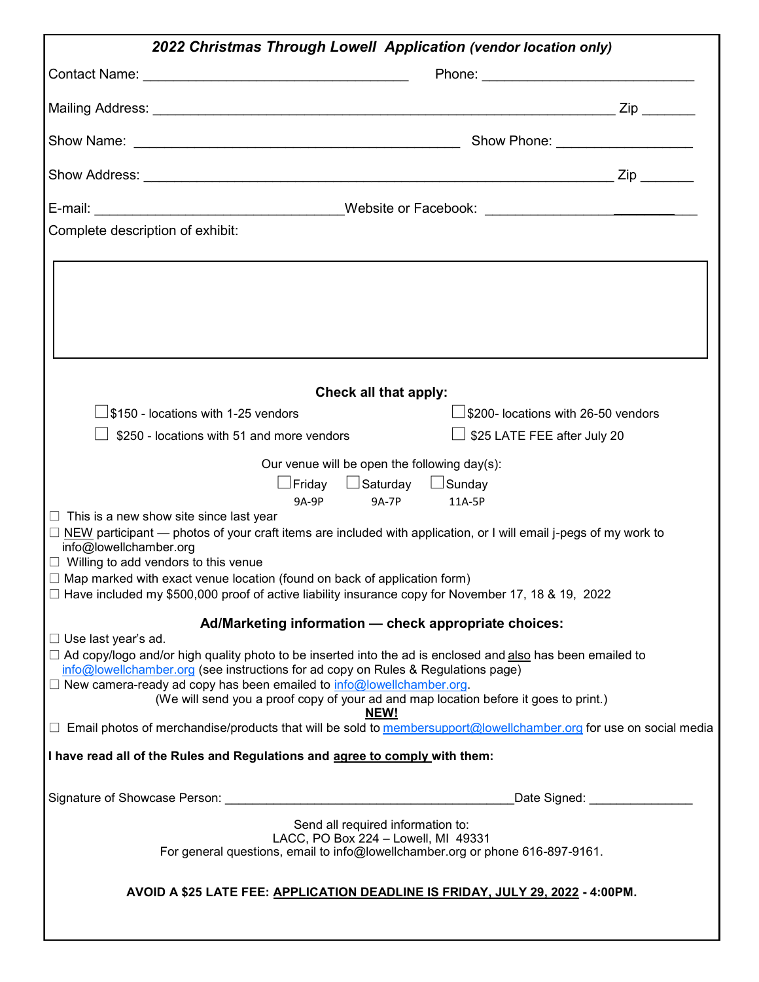| 2022 Christmas Through Lowell Application (vendor location only)                                                                                                                             |                              |
|----------------------------------------------------------------------------------------------------------------------------------------------------------------------------------------------|------------------------------|
|                                                                                                                                                                                              |                              |
|                                                                                                                                                                                              |                              |
|                                                                                                                                                                                              |                              |
|                                                                                                                                                                                              |                              |
|                                                                                                                                                                                              |                              |
| Complete description of exhibit:                                                                                                                                                             |                              |
|                                                                                                                                                                                              |                              |
|                                                                                                                                                                                              |                              |
|                                                                                                                                                                                              |                              |
|                                                                                                                                                                                              |                              |
|                                                                                                                                                                                              |                              |
| Check all that apply:                                                                                                                                                                        |                              |
| $\lfloor$ \$150 - locations with 1-25 vendors                                                                                                                                                |                              |
| \$250 - locations with 51 and more vendors                                                                                                                                                   | 」\$25 LATE FEE after July 20 |
| Our venue will be open the following day(s):                                                                                                                                                 |                              |
| _ Friday    LISaturday    LISunday<br><b>9A-7P</b><br>9A-9P<br>11A-5P                                                                                                                        |                              |
| $\Box$ This is a new show site since last year                                                                                                                                               |                              |
| $\Box$ NEW participant — photos of your craft items are included with application, or I will email j-pegs of my work to<br>info@lowellchamber.org                                            |                              |
| $\Box$ Willing to add vendors to this venue                                                                                                                                                  |                              |
| $\Box$ Map marked with exact venue location (found on back of application form)<br>$\Box$ Have included my \$500,000 proof of active liability insurance copy for November 17, 18 & 19, 2022 |                              |
|                                                                                                                                                                                              |                              |
| Ad/Marketing information - check appropriate choices:<br>$\Box$ Use last year's ad.                                                                                                          |                              |
| □ Ad copy/logo and/or high quality photo to be inserted into the ad is enclosed and also has been emailed to                                                                                 |                              |
| info@lowellchamber.org (see instructions for ad copy on Rules & Regulations page)<br>$\Box$ New camera-ready ad copy has been emailed to $info@$ lowell chamber org.                         |                              |
| (We will send you a proof copy of your ad and map location before it goes to print.)<br>NEW!                                                                                                 |                              |
| $\Box$ Email photos of merchandise/products that will be sold to membersupport@lowellchamber.org for use on social media                                                                     |                              |
| I have read all of the Rules and Regulations and agree to comply with them:                                                                                                                  |                              |
|                                                                                                                                                                                              | Date Signed: _______________ |
| Send all required information to:                                                                                                                                                            |                              |
| LACC, PO Box 224 - Lowell, MI 49331<br>For general questions, email to info@lowellchamber.org or phone 616-897-9161.                                                                         |                              |
|                                                                                                                                                                                              |                              |
| AVOID A \$25 LATE FEE: APPLICATION DEADLINE IS FRIDAY, JULY 29, 2022 - 4:00PM.                                                                                                               |                              |
|                                                                                                                                                                                              |                              |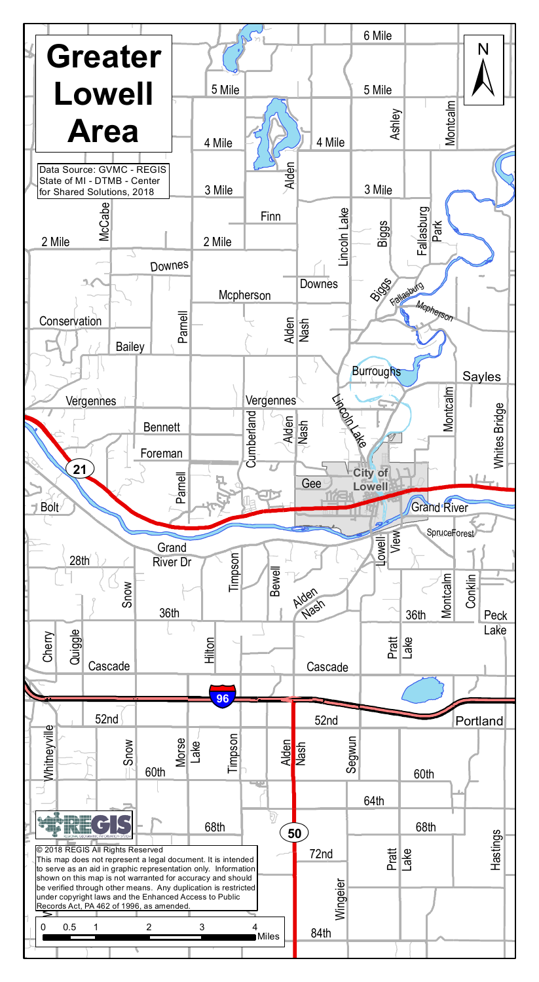